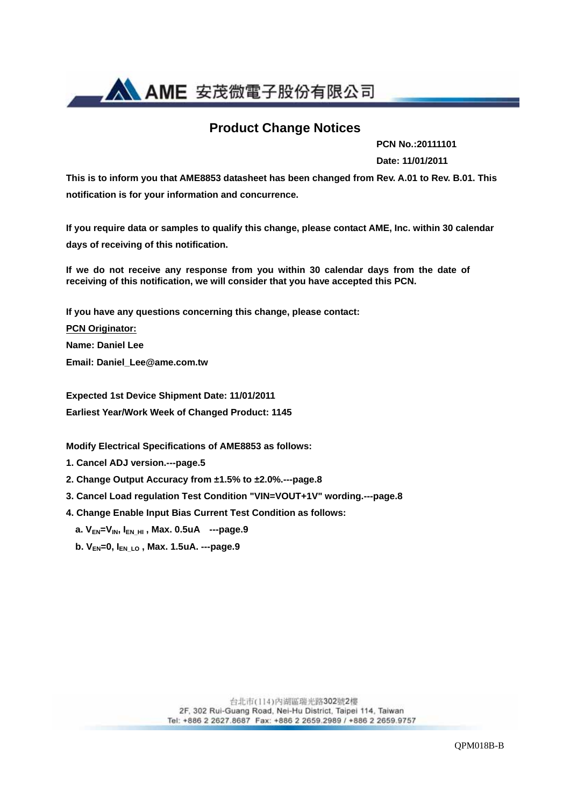

### **Product Change Notices**

**PCN No.:20111101** 

**Date: 11/01/2011** 

**This is to inform you that AME8853 datasheet has been changed from Rev. A.01 to Rev. B.01. This notification is for your information and concurrence.** 

**If you require data or samples to qualify this change, please contact AME, Inc. within 30 calendar days of receiving of this notification.** 

**If we do not receive any response from you within 30 calendar days from the date of receiving of this notification, we will consider that you have accepted this PCN.** 

**If you have any questions concerning this change, please contact:** 

**PCN Originator:** 

**Name: Daniel Lee** 

**Email: Daniel\_Lee@ame.com.tw** 

**Expected 1st Device Shipment Date: 11/01/2011 Earliest Year/Work Week of Changed Product: 1145** 

**Modify Electrical Specifications of AME8853 as follows:** 

**1. Cancel ADJ version.---page.5** 

**2. Change Output Accuracy from ±1.5% to ±2.0%.---page.8** 

- **3. Cancel Load regulation Test Condition "VIN=VOUT+1V" wording.---page.8**
- **4. Change Enable Input Bias Current Test Condition as follows:** 
	- **a. VEN=VIN, IEN\_HI , Max. 0.5uA ---page.9**
	- **b. VEN=0, IEN\_LO , Max. 1.5uA. ---page.9**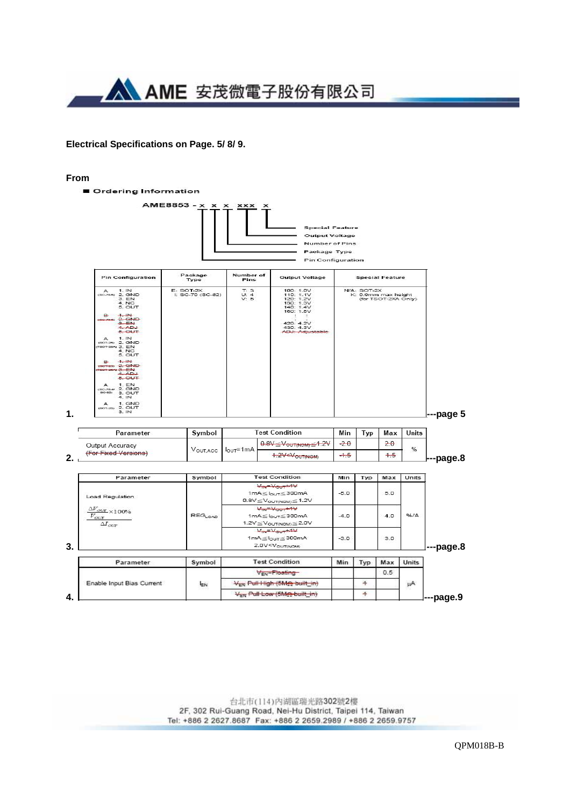

#### **Electrical Specifications on Page. 5/ 8/ 9.**

#### **From**



台北市(114) 內湖區瑞光路302號2樓 2F, 302 Rui-Guang Road, Nei-Hu District, Taipei 114, Taiwan Tel: +886 2 2627.8687 Fax: +886 2 2659.2989 / +886 2 2659.9757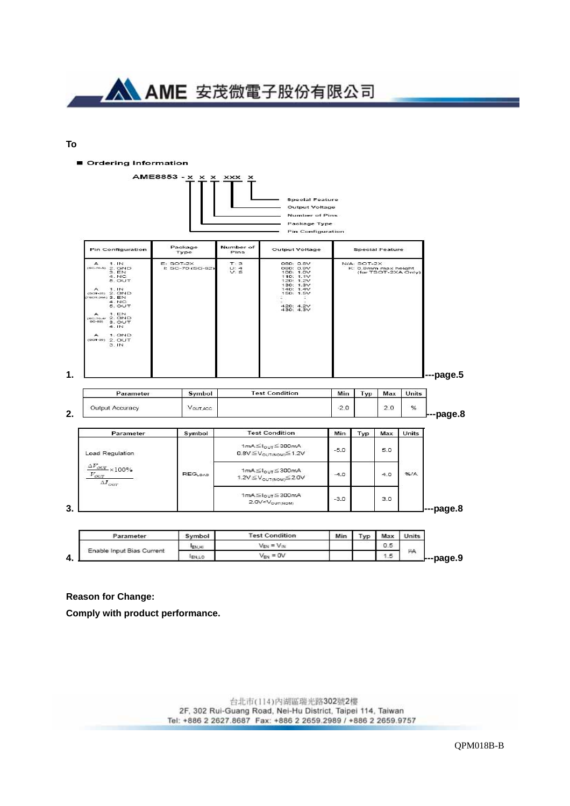

#### **To**

Ordering Information



| Parameter                       | Symbol | <b>Test Condition</b>             | Min | Max | Units |
|---------------------------------|--------|-----------------------------------|-----|-----|-------|
| Enable Input Bias Current<br>≖. | ENJHI  | $V_{\text{FSK}} = V_{\text{ISK}}$ |     | 0.5 |       |
|                                 | EN,LO  | $V_{EN} = OV$                     |     | 1.5 | μд    |

#### **Reason for Change:**

**Comply with product performance.**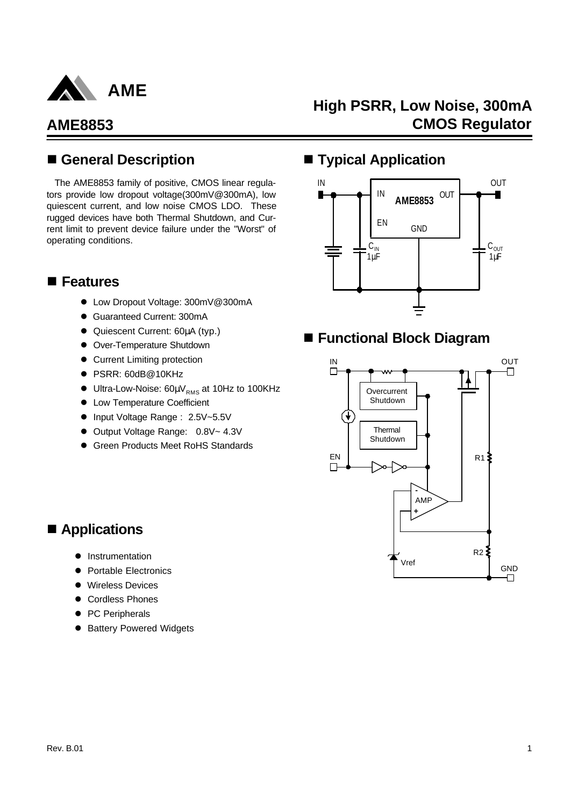

# **High PSRR, Low Noise, 300mA CMOS Regulator**

### n **General Description**

The AME8853 family of positive, CMOS linear regulators provide low dropout voltage(300mV@300mA), low quiescent current, and low noise CMOS LDO. These rugged devices have both Thermal Shutdown, and Current limit to prevent device failure under the "Worst" of operating conditions.

### **n** Features

- Low Dropout Voltage: 300mV@300mA
- **Guaranteed Current: 300mA**
- **Quiescent Current: 60μA (typ.)**
- **•** Over-Temperature Shutdown
- **Current Limiting protection**
- PSRR: 60dB@10KHz
- $\bullet$  Ultra-Low-Noise: 60µ $V_{RMS}$  at 10Hz to 100KHz
- **Low Temperature Coefficient**
- Input Voltage Range : 2.5V~5.5V
- Output Voltage Range: 0.8V~ 4.3V
- **Green Products Meet RoHS Standards**

### $\blacksquare$  Typical Application



## ■ Functional Block Diagram



## ■ Applications

- **Instrumentation**
- Portable Electronics
- **•** Wireless Devices
- **Cordless Phones**
- PC Peripherals
- **Battery Powered Widgets**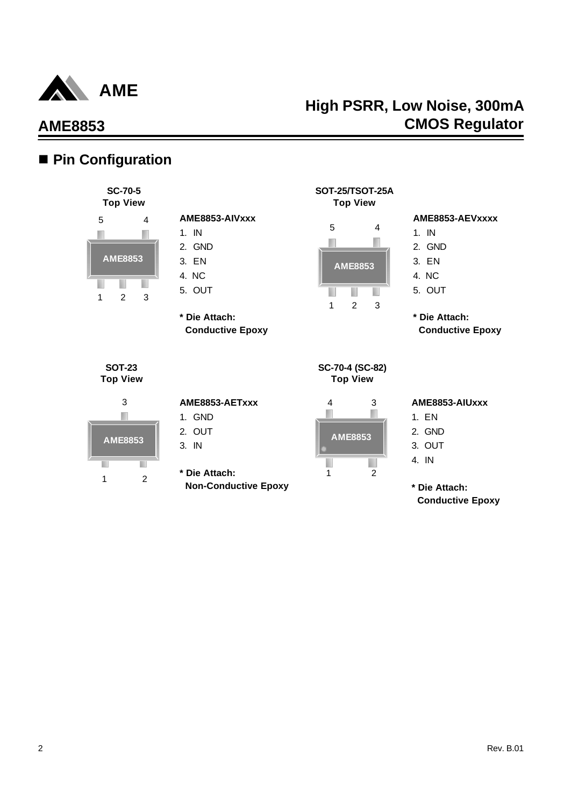

## ■ Pin Configuration



| AME8853-AIVxxx |
|----------------|
| 1 IN           |
| 2. GND         |
| 3. EN          |
| 4. NC          |
| 5. OUT         |
|                |

**\* Die Attach: Conductive Epoxy**

| <b>Top View</b> |                |   |  |  |  |
|-----------------|----------------|---|--|--|--|
| 5               |                | 4 |  |  |  |
|                 |                |   |  |  |  |
|                 | <b>AME8853</b> |   |  |  |  |
|                 |                |   |  |  |  |
|                 | 2              | 3 |  |  |  |

**SOT-25/TSOT-25A**

#### **AME8853-AEVxxxx**

- 1. IN
- 2. GND
- 3. EN
- 4. NC
- 5. OUT

**\* Die Attach: Conductive Epoxy**

**SOT-23 Top View**



#### **AME8853-AETxxx**

- 1. GND
- 2. OUT
- 3. IN
- **\* Die Attach: Non-Conductive Epoxy**

|                | 3              |
|----------------|----------------|
| <b>AME8853</b> |                |
|                | $\mathfrak{p}$ |

**SC-70-4 (SC-82) Top View**

#### **AME8853-AIUxxx**

- 1. EN
- 2. GND
- 3. OUT
- 4. IN

**\* Die Attach: Conductive Epoxy**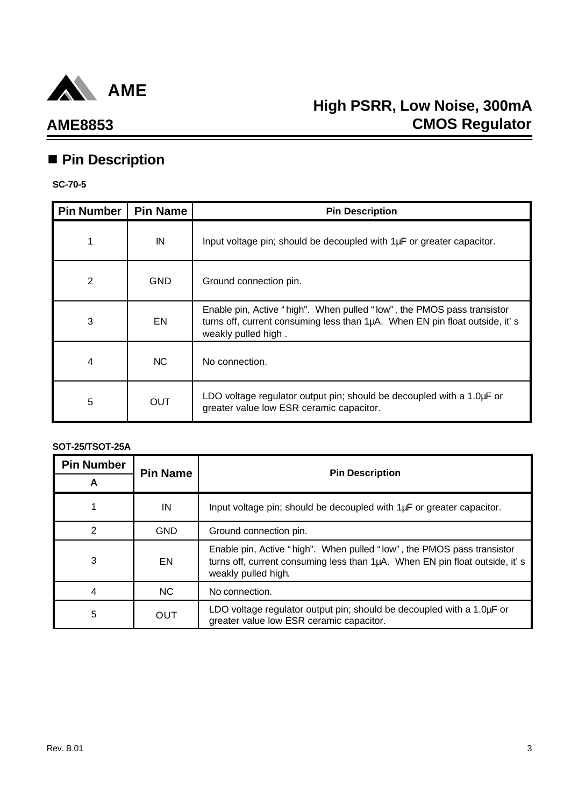

## **AME8853**

# ■ Pin Description

#### **SC-70-5**

| <b>Pin Number</b> | <b>Pin Name</b> | <b>Pin Description</b>                                                                                                                                                       |
|-------------------|-----------------|------------------------------------------------------------------------------------------------------------------------------------------------------------------------------|
| 1                 | IN              | Input voltage pin; should be decoupled with 1µF or greater capacitor.                                                                                                        |
| 2                 | <b>GND</b>      | Ground connection pin.                                                                                                                                                       |
| 3                 | <b>EN</b>       | Enable pin, Active "high". When pulled "low", the PMOS pass transistor<br>turns off, current consuming less than 1µA. When EN pin float outside, it's<br>weakly pulled high. |
| 4                 | <b>NC</b>       | No connection.                                                                                                                                                               |
| 5                 | <b>OUT</b>      | LDO voltage regulator output pin; should be decoupled with a 1.0µF or<br>greater value low ESR ceramic capacitor.                                                            |

#### **SOT-25/TSOT-25A**

| <b>Pin Number</b><br>A | <b>Pin Name</b> | <b>Pin Description</b>                                                                                                                                                       |
|------------------------|-----------------|------------------------------------------------------------------------------------------------------------------------------------------------------------------------------|
|                        | IN              | Input voltage pin; should be decoupled with 1µF or greater capacitor.                                                                                                        |
| 2                      | <b>GND</b>      | Ground connection pin.                                                                                                                                                       |
| 3                      | EN.             | Enable pin, Active "high". When pulled "low", the PMOS pass transistor<br>turns off, current consuming less than 1µA. When EN pin float outside, it's<br>weakly pulled high. |
| 4                      | <b>NC</b>       | No connection.                                                                                                                                                               |
| 5                      | OUT             | LDO voltage regulator output pin; should be decoupled with a 1.0µF or<br>greater value low ESR ceramic capacitor.                                                            |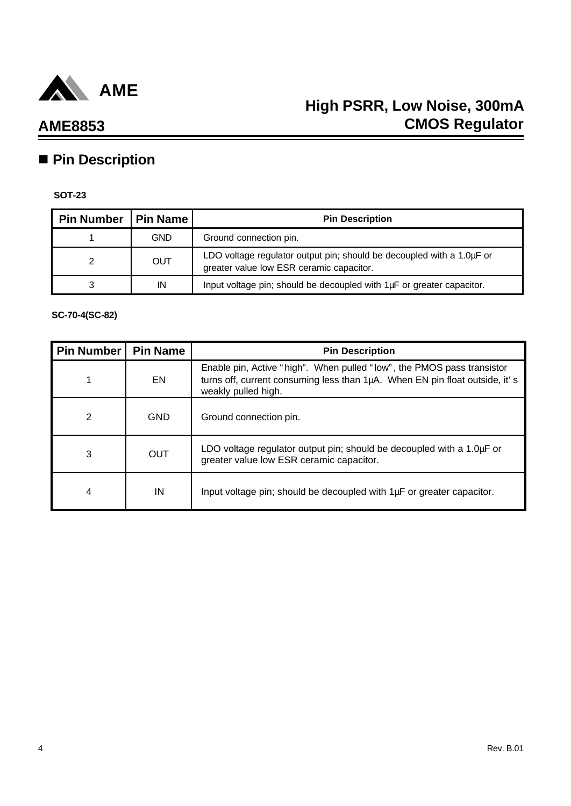

# **n** Pin Description

#### **SOT-23**

| Pin Number   Pin Name |            | <b>Pin Description</b>                                                                                            |
|-----------------------|------------|-------------------------------------------------------------------------------------------------------------------|
|                       | <b>GND</b> | Ground connection pin.                                                                                            |
|                       | <b>OUT</b> | LDO voltage regulator output pin; should be decoupled with a 1.0µF or<br>greater value low ESR ceramic capacitor. |
| 3                     | IN         | Input voltage pin; should be decoupled with 1µF or greater capacitor.                                             |

### **SC-70-4(SC-82)**

| <b>Pin Number</b> | <b>Pin Name</b> | <b>Pin Description</b>                                                                                                                                                       |
|-------------------|-----------------|------------------------------------------------------------------------------------------------------------------------------------------------------------------------------|
|                   | <b>EN</b>       | Enable pin, Active "high". When pulled "low", the PMOS pass transistor<br>turns off, current consuming less than 1µA. When EN pin float outside, it's<br>weakly pulled high. |
| 2                 | GND             | Ground connection pin.                                                                                                                                                       |
| 3                 | <b>OUT</b>      | LDO voltage regulator output pin; should be decoupled with a 1.0µF or<br>greater value low ESR ceramic capacitor.                                                            |
| 4                 | IN              | Input voltage pin; should be decoupled with 1µF or greater capacitor.                                                                                                        |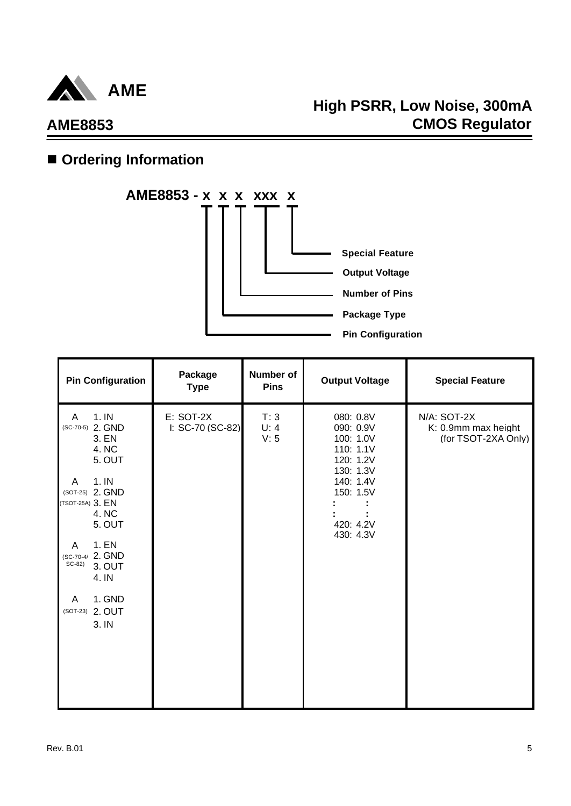

# **High PSRR, Low Noise, 300mA CMOS Regulator**

# $\blacksquare$  Ordering Information



| <b>Pin Configuration</b>                                                                                                                                                                                                                        | Package<br><b>Type</b>        | <b>Number of</b><br><b>Pins</b> | <b>Output Voltage</b>                                                                                                          | <b>Special Feature</b>                                    |
|-------------------------------------------------------------------------------------------------------------------------------------------------------------------------------------------------------------------------------------------------|-------------------------------|---------------------------------|--------------------------------------------------------------------------------------------------------------------------------|-----------------------------------------------------------|
| 1.1N<br>A<br>(SC-70-5) 2. GND<br>3. EN<br>4. NC<br>5. OUT<br>1.1N<br>A<br>(SOT-25) 2. GND<br>(TSOT-25A) 3. EN<br>4. NC<br>5. OUT<br>1. EN<br>A<br>(SC-70-4/ 2. GND<br>SC-82)<br>3. OUT<br>4. IN<br>1. GND<br>A<br>2. OUT<br>$(SOT-23)$<br>3. IN | E: SOT-2X<br>I: SC-70 (SC-82) | T:3<br>U: 4<br>V: 5             | 080: 0.8V<br>090: 0.9V<br>100: 1.0V<br>110: 1.1V<br>120: 1.2V<br>130: 1.3V<br>140: 1.4V<br>150: 1.5V<br>420: 4.2V<br>430: 4.3V | N/A: SOT-2X<br>K: 0.9mm max height<br>(for TSOT-2XA Only) |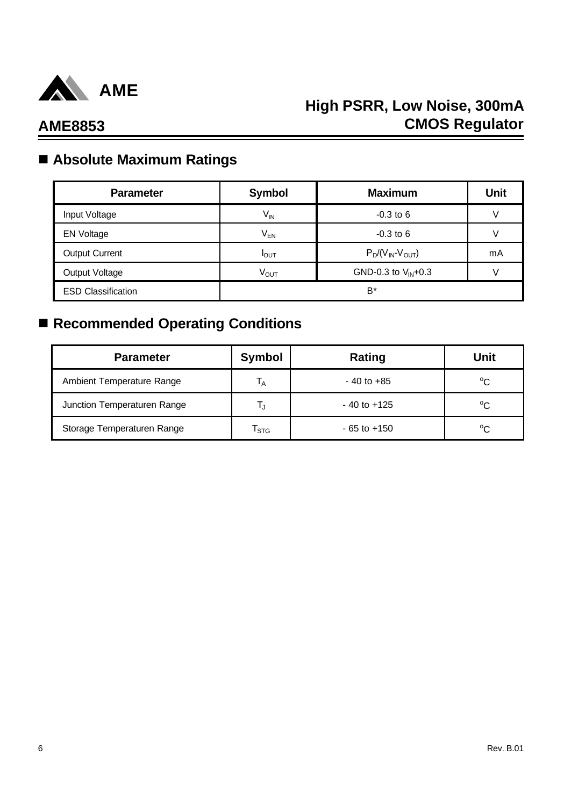

## n **Absolute Maximum Ratings**

| <b>Parameter</b>          | <b>Symbol</b>    | <b>Maximum</b>          | <b>Unit</b> |
|---------------------------|------------------|-------------------------|-------------|
| Input Voltage             | $V_{IN}$         | $-0.3$ to 6             |             |
| <b>EN Voltage</b>         | V <sub>EN</sub>  | $-0.3$ to 6             |             |
| <b>Output Current</b>     | $I_{\text{OUT}}$ | $P_D/(V_{IN}-V_{OUT})$  | mA          |
| Output Voltage            | $V_{\text{OUT}}$ | GND-0.3 to $V_{IN}+0.3$ |             |
| <b>ESD Classification</b> |                  | B*                      |             |

# ■ Recommended Operating Conditions

| <b>Parameter</b>            | Symbol                    | Rating          | Unit        |
|-----------------------------|---------------------------|-----------------|-------------|
| Ambient Temperature Range   | <sup>1</sup> A            | $-40$ to $+85$  | $^{\circ}C$ |
| Junction Temperaturen Range |                           | $-40$ to $+125$ | $^{\circ}C$ |
| Storage Temperaturen Range  | $\mathsf{T}_{\text{STG}}$ | $-65$ to $+150$ | $^{\circ}C$ |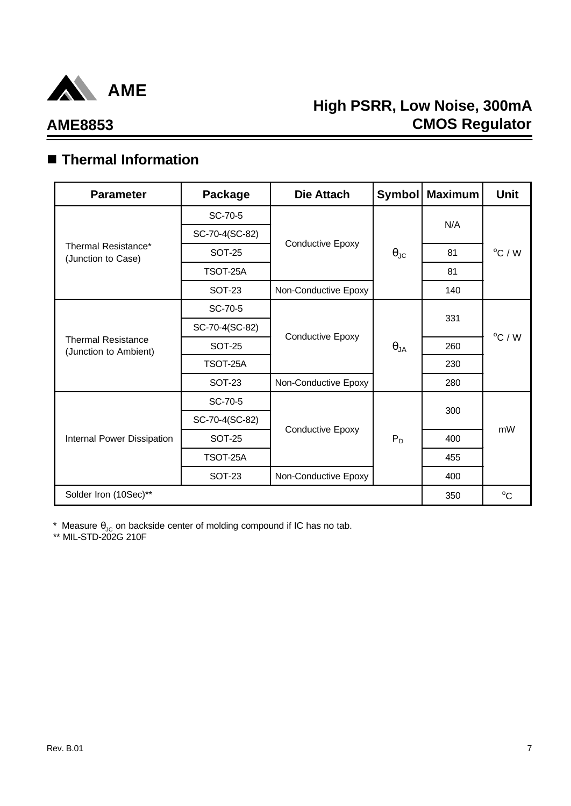

# **AME8853**

## n **Thermal Information**

| <b>Parameter</b>                                   | Package        | Die Attach              | <b>Symbol</b>        | <b>Maximum</b>                                | <b>Unit</b>      |
|----------------------------------------------------|----------------|-------------------------|----------------------|-----------------------------------------------|------------------|
|                                                    | SC-70-5        |                         |                      |                                               |                  |
|                                                    | SC-70-4(SC-82) |                         |                      |                                               |                  |
| Thermal Resistance*<br>(Junction to Case)          | <b>SOT-25</b>  | <b>Conductive Epoxy</b> | $\theta_{\text{JC}}$ | 81                                            | $^{\circ}$ C / W |
|                                                    | TSOT-25A       |                         |                      | 81                                            |                  |
|                                                    | SOT-23         | Non-Conductive Epoxy    |                      | 140                                           |                  |
|                                                    | SC-70-5        |                         |                      |                                               |                  |
|                                                    | SC-70-4(SC-82) |                         | $\theta_{JA}$        |                                               |                  |
| <b>Thermal Resistance</b><br>(Junction to Ambient) | <b>SOT-25</b>  | <b>Conductive Epoxy</b> |                      | 260                                           | $^{\circ}$ C / W |
|                                                    | TSOT-25A       |                         |                      | 230                                           |                  |
|                                                    | <b>SOT-23</b>  | Non-Conductive Epoxy    |                      | N/A<br>331<br>280<br>300<br>400<br>455<br>400 |                  |
|                                                    | SC-70-5        |                         | $P_D$                |                                               |                  |
|                                                    | SC-70-4(SC-82) |                         |                      |                                               | mW               |
| Internal Power Dissipation                         | <b>SOT-25</b>  | <b>Conductive Epoxy</b> |                      |                                               |                  |
|                                                    | TSOT-25A       |                         |                      |                                               |                  |
|                                                    | <b>SOT-23</b>  | Non-Conductive Epoxy    |                      |                                               |                  |
| Solder Iron (10Sec)**                              |                |                         |                      | 350                                           | $^{\circ}C$      |

\* Measure  $\theta_{\text{JC}}$  on backside center of molding compound if IC has no tab.

\*\* MIL-STD-202G 210F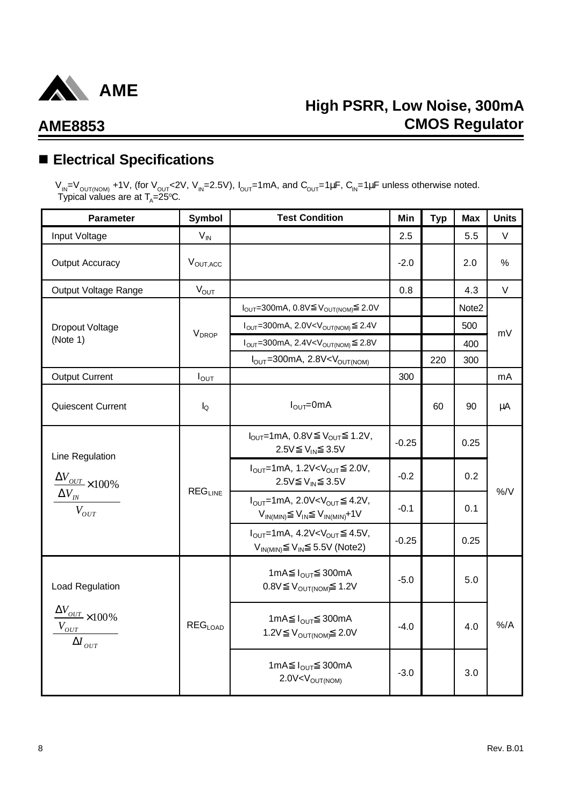

## n **Electrical Specifications**

 $V_{IN}$ = $V_{OUT(NOM)}$  +1V, (for V<sub>OUT</sub><2V, V<sub>IN</sub>=2.5V), I<sub>OUT</sub>=1mA, and C<sub>OUT</sub>=1μF, C<sub>IN</sub>=1μF unless otherwise noted. Typical values are at  $T_{\text{\tiny A}}$ =25°C.

| <b>Parameter</b>                                                                | Symbol                   | <b>Test Condition</b>                                                                                                      | Min                                    | <b>Typ</b> | <b>Max</b> | <b>Units</b> |
|---------------------------------------------------------------------------------|--------------------------|----------------------------------------------------------------------------------------------------------------------------|----------------------------------------|------------|------------|--------------|
| Input Voltage                                                                   | $V_{IN}$                 |                                                                                                                            | 2.5                                    |            | 5.5        | V            |
| <b>Output Accuracy</b>                                                          | V <sub>OUT, ACC</sub>    |                                                                                                                            | $-2.0$                                 |            | 2.0        | %            |
| Output Voltage Range                                                            | $V_{OUT}$                |                                                                                                                            | 0.8                                    |            | 4.3        | $\vee$       |
|                                                                                 |                          | $I_{\text{OUT}} = 300 \text{mA}, 0.8 \text{V}$ $V_{\text{OUT(NOM)}}$ 2.0V                                                  |                                        |            | Note2      |              |
| Dropout Voltage                                                                 | <b>V</b> <sub>DROP</sub> | $IOUT=300mA, 2.0V< VOUT(NOM)$<br>2.4V                                                                                      |                                        |            | 500        | mV           |
| (Note 1)                                                                        |                          | $I_{OUT}$ =300mA, 2.4V <v<sub>OUT(NOM)<br/>2.8V</v<sub>                                                                    |                                        |            | 400        |              |
|                                                                                 |                          | $I_{\text{OUT}}$ =300mA, 2.8V <v<sub>OUT(NOM)</v<sub>                                                                      |                                        | 220        | 300        |              |
| <b>Output Current</b>                                                           | $I_{OUT}$                |                                                                                                                            | 300                                    |            |            | mA           |
| <b>Quiescent Current</b>                                                        | $I_{\Omega}$             | $I_{\text{OUT}} = 0 \text{mA}$                                                                                             |                                        | 60         | 90         | μA           |
| Line Regulation                                                                 |                          | $I_{OUT}$ =1mA, 0.8V $V_{OUT}$ 1.2V,<br>2.5V V <sub>IN</sub> 3.5V                                                          | $-0.25$                                |            | 0.25       |              |
| $\frac{\Delta V_{OUT}}{\Delta V_{OUT}}\times100\%$                              |                          | $I_{OUT}$ =1mA, 1.2V <v<sub>OUT 2.0V,<br/>2.5V V<sub>IN</sub> 3.5V</v<sub>                                                 | $-0.2$<br>$0.2^{\circ}$<br>-0.1<br>0.1 |            |            | $\%$ /V      |
| $\Delta V_{IN}$<br>$V_{OUT}$                                                    | $REG_{LINE}$             | $I_{OUT}$ =1mA, 2.0V <v<sub>OUT 4.2V,<br/><math>V_{IN(MIN)}</math> <math>V_{IN}</math> <math>V_{IN(MIN)}+1V</math></v<sub> |                                        |            |            |              |
|                                                                                 |                          | $I_{OUT}$ =1mA, 4.2V <v<sub>OUT 4.5V,<br/><math>V_{IN(MIN)}</math> <math>V_{IN}</math> 5.5V (Note2)</v<sub>                | $-0.25$                                |            | 0.25       |              |
| Load Regulation                                                                 |                          | 1mA $I_{\text{OUT}}$ 300mA<br>$0.8V$ $V_{\text{OUT(NOM)}}$ 1.2V                                                            | $-5.0$                                 |            | 5.0        |              |
| $\frac{\Delta V_{OUT}}{\Delta 100\%}$<br>$V_{OUT}$<br>$\Delta I_{\mathit{OUT}}$ | REG <sub>LOAD</sub>      | 1mA $I_{\text{OUT}}$ 300mA<br>1.2V $V_{OUT(NOM)}$ 2.0V                                                                     | $-4.0$                                 |            | 4.0        | $%$ /A       |
|                                                                                 |                          | 1mA $I_{OUT}$ 300mA<br>$2.0V < V_{OUT(NOM)}$                                                                               | $-3.0$                                 |            | 3.0        |              |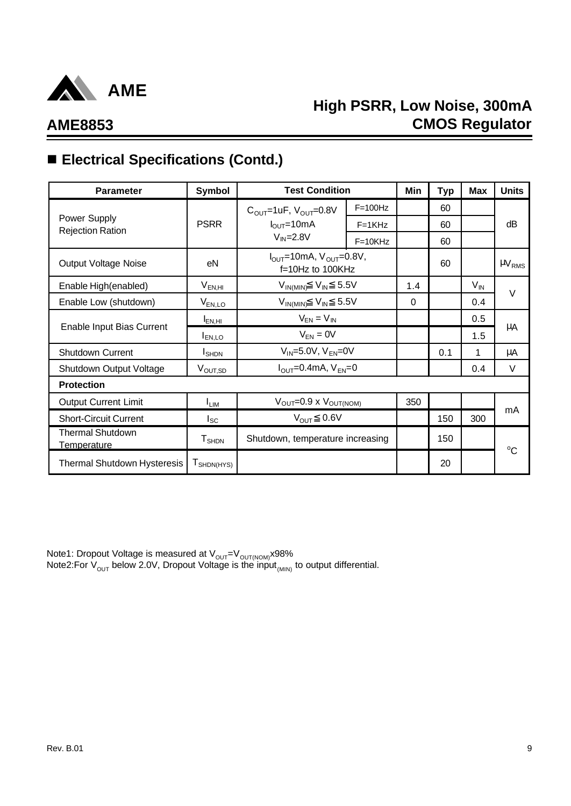

# **High PSRR, Low Noise, 300mA CMOS Regulator**

# ■ Electrical Specifications (Contd.)

| <b>Parameter</b>                              | Symbol                            | <b>Test Condition</b>                                                 |           | Min      | <b>Typ</b> | <b>Max</b>      | <b>Units</b>           |
|-----------------------------------------------|-----------------------------------|-----------------------------------------------------------------------|-----------|----------|------------|-----------------|------------------------|
|                                               |                                   | $C_{OUT}$ =1uF, $V_{OUT}$ =0.8V                                       | $F=100Hz$ |          | 60         |                 |                        |
| Power Supply<br><b>Rejection Ration</b>       | <b>PSRR</b>                       | $I_{\text{OUT}} = 10 \text{mA}$                                       | $F=1KHz$  |          | 60         |                 | dB                     |
|                                               |                                   | $V_{IN} = 2.8V$                                                       | $F=10KHz$ |          | 60         |                 |                        |
| <b>Output Voltage Noise</b>                   | eN                                | $I_{\text{OUT}}$ =10mA, $V_{\text{OUT}}$ =0.8V,<br>$f=10Hz$ to 100KHz |           |          | 60         |                 | $\mu$ V <sub>RMS</sub> |
| Enable High(enabled)                          | $V_{EN,HI}$                       | $V_{IN(MIN)}$ $V_{IN}$ 5.5V                                           |           | 1.4      |            | $V_{\text{IN}}$ | $\vee$                 |
| Enable Low (shutdown)                         | $V_{EN,LO}$                       | $V_{IN(MIN)}$ $V_{IN}$ 5.5V                                           |           | $\Omega$ |            | 0.4             |                        |
|                                               | $I_{EN,HI}$                       | $V_{EN} = V_{IN}$                                                     |           |          |            | 0.5             |                        |
| Enable Input Bias Current                     | <b>EN,LO</b>                      | $V_{EN} = 0V$                                                         |           |          |            | 1.5             | μA                     |
| Shutdown Current                              | <b>I</b> SHDN                     | $V_{IN} = 5.0V$ , $V_{EN} = 0V$                                       |           |          | 0.1        | 1               | μA                     |
| Shutdown Output Voltage                       | V <sub>OUT,SD</sub>               | $IOUT=0.4mA, VFN=0$                                                   |           |          |            | 0.4             | $\vee$                 |
| <b>Protection</b>                             |                                   |                                                                       |           |          |            |                 |                        |
| <b>Output Current Limit</b>                   | I <sub>LIM</sub>                  | $V_{\text{OUT}}=0.9 \times V_{\text{OUT(NOM)}}$                       |           | 350      |            |                 |                        |
| <b>Short-Circuit Current</b>                  | <sub>sc</sub>                     | $V_{OUT}$ 0.6V                                                        |           |          | 150        | 300             | mA                     |
| <b>Thermal Shutdown</b><br><u>Temperature</u> | $T_{\scriptsize \text{SHDN}}$     | Shutdown, temperature increasing                                      |           |          | 150        |                 | $^{\circ}C$            |
| Thermal Shutdown Hysteresis                   | $T_{\mathsf{SHDN}(\mathsf{HYS})}$ |                                                                       |           |          | 20         |                 |                        |

Note1: Dropout Voltage is measured at V<sub>ouT</sub>=V<sub>ouT(NOM)</sub>x98% Note2:For  $\rm V_{\rm OUT}$  below 2.0V, Dropout Voltage is the input $_{\rm (MIN)}$  to output differential.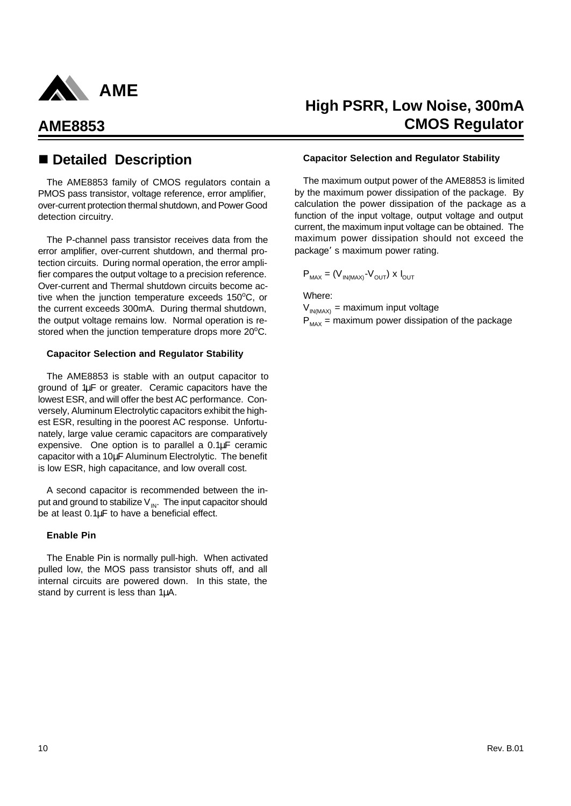

The AME8853 family of CMOS regulators contain a PMOS pass transistor, voltage reference, error amplifier, over-current protection thermal shutdown, and Power Good detection circuitry.

The P-channel pass transistor receives data from the error amplifier, over-current shutdown, and thermal protection circuits. During normal operation, the error amplifier compares the output voltage to a precision reference. Over-current and Thermal shutdown circuits become active when the junction temperature exceeds  $150^{\circ}$ C, or the current exceeds 300mA. During thermal shutdown, the output voltage remains low. Normal operation is restored when the junction temperature drops more 20°C.

#### **Capacitor Selection and Regulator Stability**

The AME8853 is stable with an output capacitor to ground of 1μF or greater. Ceramic capacitors have the lowest ESR, and will offer the best AC performance. Conversely, Aluminum Electrolytic capacitors exhibit the highest ESR, resulting in the poorest AC response. Unfortunately, large value ceramic capacitors are comparatively expensive. One option is to parallel a 0.1μF ceramic capacitor with a 10μF Aluminum Electrolytic. The benefit is low ESR, high capacitance, and low overall cost.

A second capacitor is recommended between the input and ground to stabilize  $V_{\text{IN}}$ . The input capacitor should be at least 0.1μF to have a beneficial effect.

#### **Enable Pin**

The Enable Pin is normally pull-high. When activated pulled low, the MOS pass transistor shuts off, and all internal circuits are powered down. In this state, the stand by current is less than 1μA.

## **High PSRR, Low Noise, 300mA AME8853 CMOS Regulator**

### ■ Detailed Description **betailed Description Capacitor Selection and Regulator Stability**

The maximum output power of the AME8853 is limited by the maximum power dissipation of the package. By calculation the power dissipation of the package as a function of the input voltage, output voltage and output current, the maximum input voltage can be obtained. The maximum power dissipation should not exceed the package's maximum power rating.

$$
P_{MAX} = (V_{IN(MAX)} - V_{OUT}) \times I_{OUT}
$$

Where:

 $V_{IN(MAX)}$  = maximum input voltage  $P_{\text{max}}$  = maximum power dissipation of the package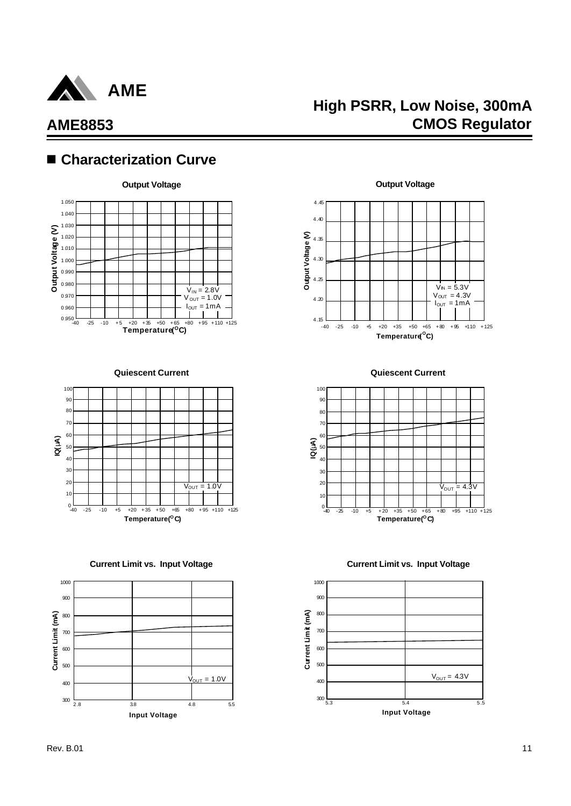

## **High PSRR, Low Noise, 300mA CMOS Regulator**

## ■ Characterization Curve



**Quiescent Current**



**Current Limit vs. Input Voltage**





**Quiescent Current**



**Current Limit vs. Input Voltage**

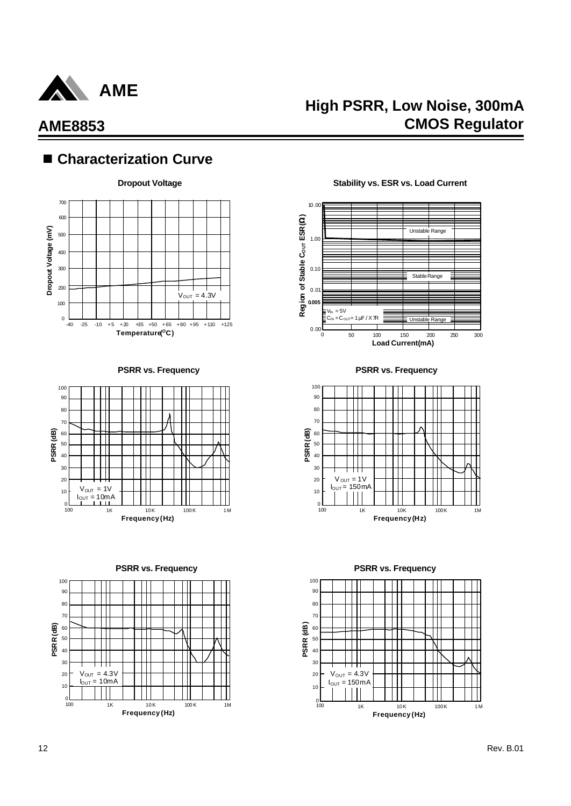

## ■ Characterization Curve











**PSRR vs. Frequency PSRR vs. Frequency**



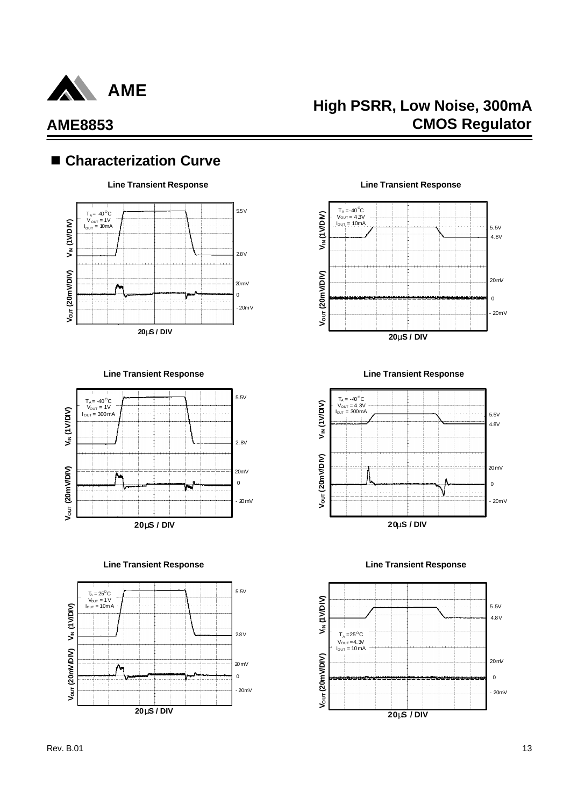

# **High PSRR, Low Noise, 300mA CMOS Regulator**

## ■ Characterization Curve



**Line Transient Response Line Transient Response**



**Line Transient Response Line Transient Response**



**Line Transient Response Line Transient Response**





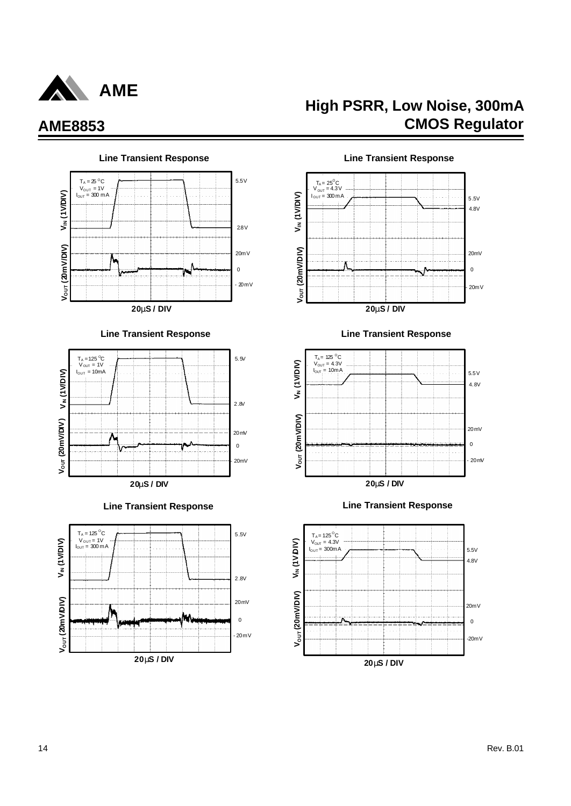

#### $T_A = 25$  <sup>o</sup>C 5.5V V<sub>OUT</sub> = 1V<br>I<sub>OUT</sub> = 300 m A **VIN (1V/DIV)** 2.8V **V/DIV)** 20mV ٨  $\mathbf{0}$ **VOUT (20m**  $-20mV$ **20mS / DIV**







# **High PSRR, Low Noise, 300mA AME8853 CMOS Regulator**



#### **Line Transient Response Line Transient Response**







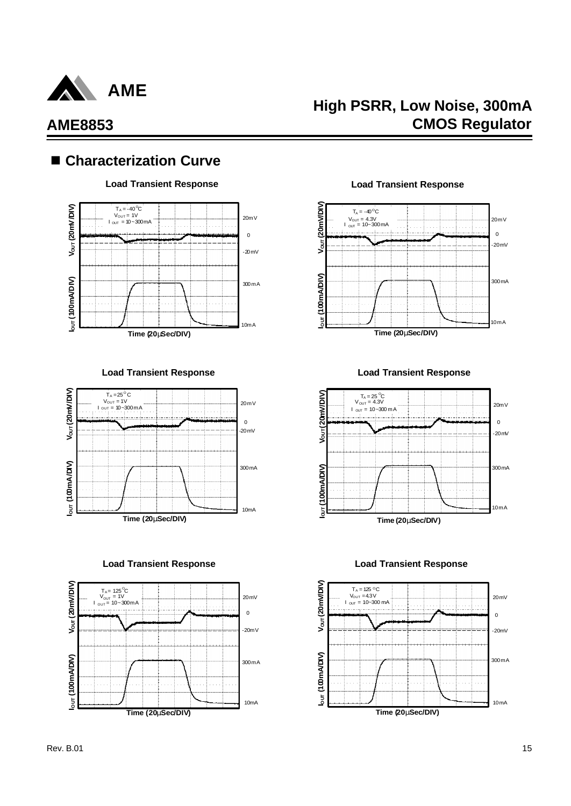

## ■ Characterization Curve



**Load Transient Response Load Transient Response**



**Load Transient Response Load Transient Response**



**Load Transient Response Load Transient Response**

**High PSRR, Low Noise, 300mA**

**CMOS Regulator**





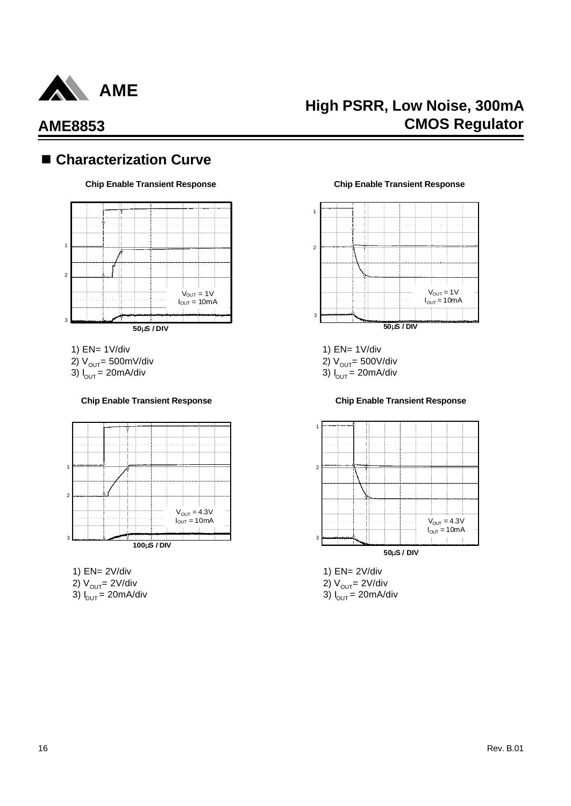

## ■ Characterization Curve



- 1) EN= 1V/div
- 2)  $V_{\text{OUT}}$ = 500mV/div
- 3)  $I_{OUT} = 20 \text{mA/div}$

#### **Chip Enable Transient Response Chip Enable Transient Response**



- 1) EN= 2V/div 2)  $V_{OUT} = 2V/div$
- 3)  $I_{\text{OUT}} = 20 \text{mA/div}$

#### **Chip Enable Transient Response Chip Enable Transient Response**



1) EN= 1V/div

2)  $V_{OUT}$ = 500V/div

3)  $I_{\text{OUT}} = 20 \text{mA/div}$ 



1) EN= 2V/div 2)  $V_{OUT} = 2V/div$ 3)  $I_{\text{OUT}} = 20 \text{mA/div}$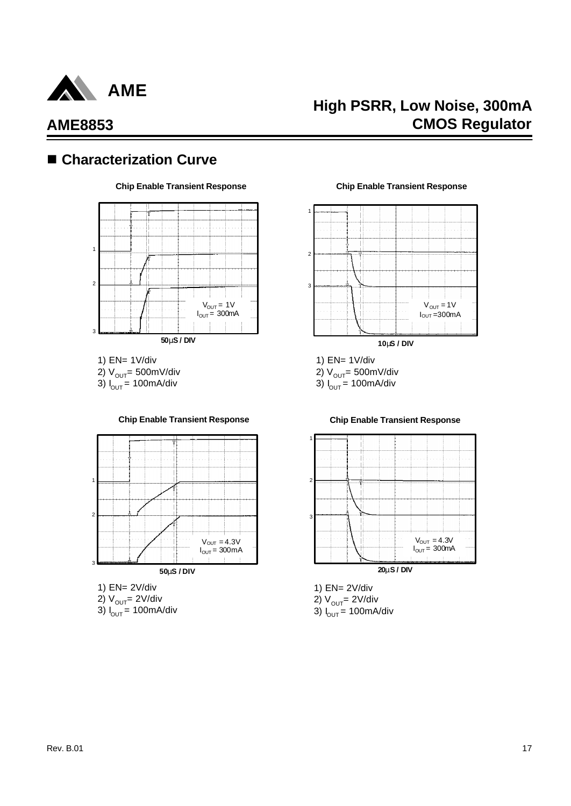

## **High PSRR, Low Noise, 300mA CMOS Regulator**

# ■ Characterization Curve



1) EN= 1V/div 2)  $V_{OUT}$ = 500mV/div 3)  $I_{OUT} = 100 \text{mA/div}$ 



- 1) EN= 2V/div 2)  $V_{OUT} = 2V/div$
- 3)  $I_{\text{OUT}} = 100 \text{mA/div}$

#### **Chip Enable Transient Response Chip Enable Transient Response**



- 1) EN= 1V/div
- 2)  $V_{OUT}$ = 500mV/div

3)  $I_{OUT} = 100$ mA/div



#### **Chip Enable Transient Response Chip Enable Transient Response**



2) V<sub>out</sub>= 2V/div

3) I<sub>out</sub> = 100mA/div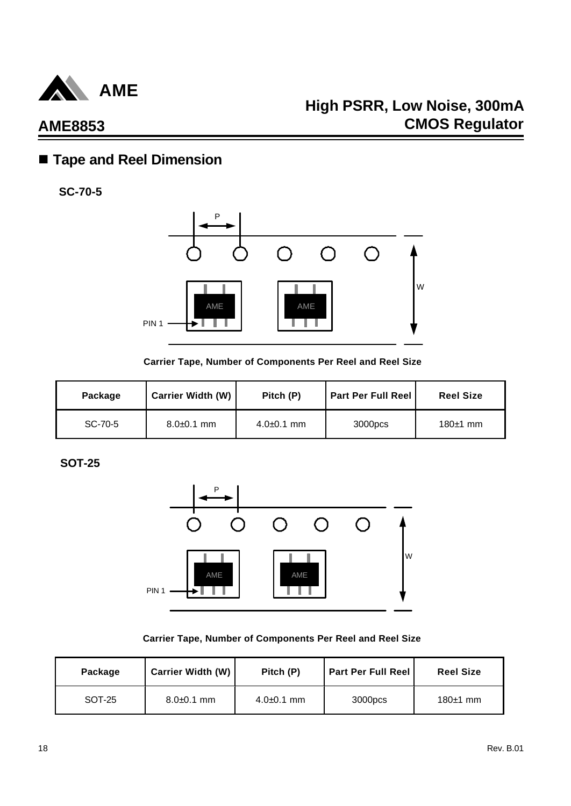

# n **Tape and Reel Dimension**

**SC-70-5**



**Carrier Tape, Number of Components Per Reel and Reel Size**

| Package | <b>Carrier Width (W)</b> | Pitch (P)      | <b>Part Per Full Reel</b> | <b>Reel Size</b> |
|---------|--------------------------|----------------|---------------------------|------------------|
| SC-70-5 | $8.0 + 0.1$ mm           | $4.0 + 0.1$ mm | 3000pcs                   | $180±1$ mm       |

**SOT-25**



**Carrier Tape, Number of Components Per Reel and Reel Size**

| Package | <b>Carrier Width (W)</b> | Pitch (P)      | <b>Part Per Full Reel</b> | <b>Reel Size</b> |
|---------|--------------------------|----------------|---------------------------|------------------|
| SOT-25  | $8.0 + 0.1$ mm           | $4.0 + 0.1$ mm | 3000pcs                   | $180±1$ mm       |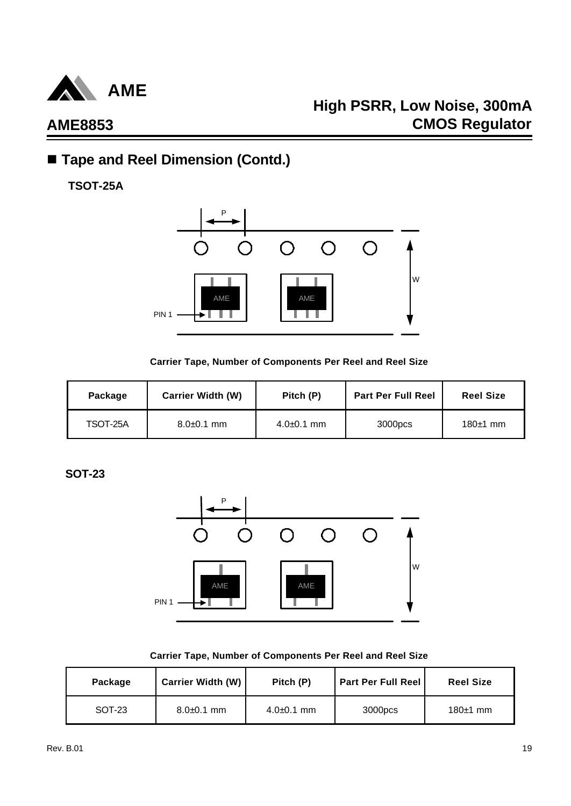

# **High PSRR, Low Noise, 300mA CMOS Regulator**

# ■ Tape and Reel Dimension (Contd.)

**TSOT-25A**



#### **Carrier Tape, Number of Components Per Reel and Reel Size**

| Package  | <b>Carrier Width (W)</b> | Pitch (P)      | <b>Part Per Full Reel</b> | <b>Reel Size</b> |
|----------|--------------------------|----------------|---------------------------|------------------|
| TSOT-25A | $8.0 + 0.1$ mm           | $4.0 + 0.1$ mm | 3000pcs                   | $180±1$ mm       |

**SOT-23**



#### **Carrier Tape, Number of Components Per Reel and Reel Size**

| Package | <b>Carrier Width (W)</b> | Pitch (P)      | <b>Part Per Full Reel</b> | <b>Reel Size</b> |
|---------|--------------------------|----------------|---------------------------|------------------|
| SOT-23  | $8.0 + 0.1$ mm           | $4.0 + 0.1$ mm | 3000pcs                   | $180±1$ mm       |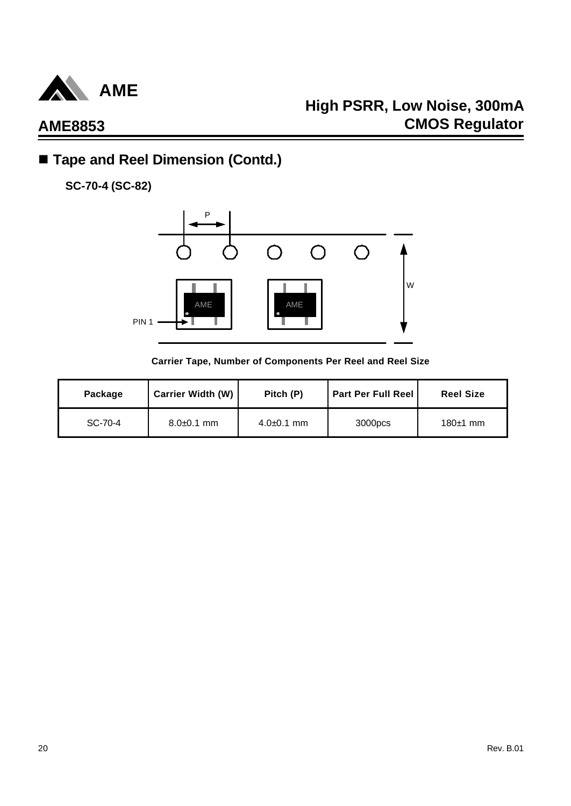

## ■ Tape and Reel Dimension (Contd.)

**SC-70-4 (SC-82)**



**Carrier Tape, Number of Components Per Reel and Reel Size**

| Package | <b>Carrier Width (W)</b> | Pitch (P)      | <b>Part Per Full Reel</b> | <b>Reel Size</b> |
|---------|--------------------------|----------------|---------------------------|------------------|
| SC-70-4 | $8.0 + 0.1$ mm           | $4.0\pm0.1$ mm | 3000pcs                   | 180 $\pm$ 1 mm   |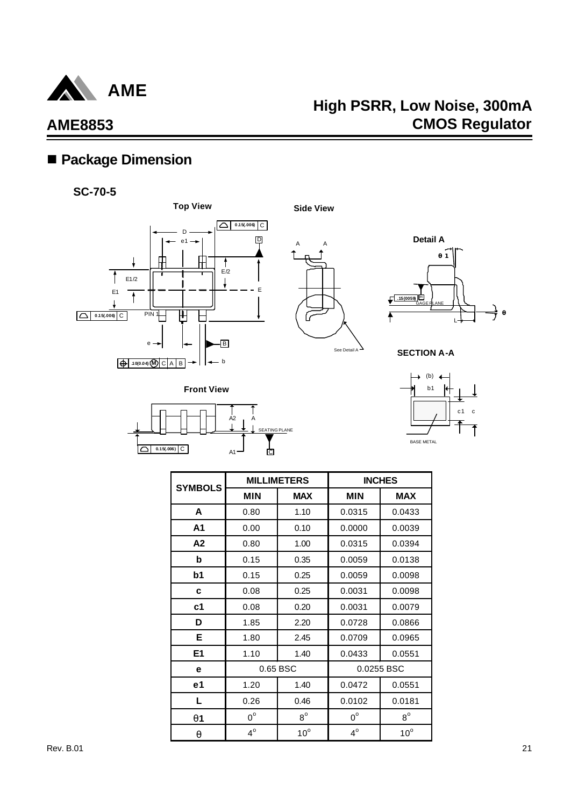

# **High PSRR, Low Noise, 300mA CMOS Regulator**

## ■ Package Dimension





**0.15(.006)** C

A A

See Detail A

**Side View**



**SECTION A-A**



| <b>SYMBOLS</b> |             | <b>MILLIMETERS</b> |             | <b>INCHES</b> |
|----------------|-------------|--------------------|-------------|---------------|
|                | <b>MIN</b>  | <b>MAX</b>         | <b>MIN</b>  | <b>MAX</b>    |
| A              | 0.80        | 1.10               | 0.0315      | 0.0433        |
| A1             | 0.00        | 0.10               | 0.0000      | 0.0039        |
| A2             | 0.80        | 1.00               | 0.0315      | 0.0394        |
| b              | 0.15        | 0.35               | 0.0059      | 0.0138        |
| b1             | 0.15        | 0.25               | 0.0059      | 0.0098        |
| C              | 0.08        | 0.25               | 0.0031      | 0.0098        |
| c <sub>1</sub> | 0.08        | 0.20               | 0.0031      | 0.0079        |
| D              | 1.85        | 2.20               | 0.0728      | 0.0866        |
| Е              | 1.80        | 2.45               | 0.0709      | 0.0965        |
| E <sub>1</sub> | 1.10        | 1.40               | 0.0433      | 0.0551        |
| е              |             | 0.65 BSC           |             | 0.0255 BSC    |
| e1             | 1.20        | 1.40               | 0.0472      | 0.0551        |
| L              | 0.26        | 0.46               | 0.0102      | 0.0181        |
| q1             | $0^{\circ}$ | $8^{\circ}$        | $0^{\circ}$ | $8^{\circ}$   |
| a              | $4^\circ$   | $10^{\circ}$       | $4^\circ$   | $10^{\circ}$  |

 $\frac{1}{\mathbb{C}}$ 

TING PLANE

 $A<sub>2</sub>$ 

A

A1

Rev. B.01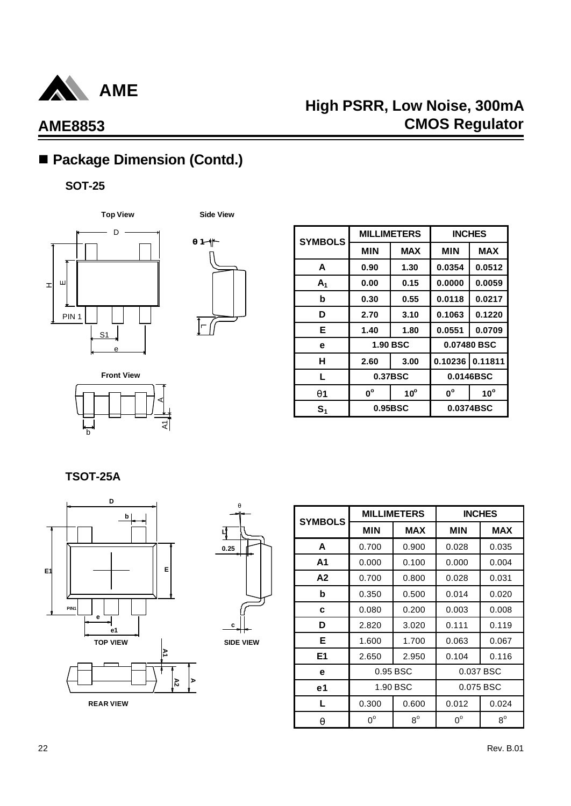

# ■ Package Dimension (Contd.)

## **SOT-25**





| <b>SYMBOLS</b> |             | <b>MILLIMETERS</b> |             | <b>INCHES</b> |
|----------------|-------------|--------------------|-------------|---------------|
|                | <b>MIN</b>  | <b>MAX</b>         | <b>MIN</b>  | <b>MAX</b>    |
| A              | 0.90        | 1.30               | 0.0354      | 0.0512        |
| A <sub>1</sub> | 0.00        | 0.15               | 0.0000      | 0.0059        |
| b              | 0.30        | 0.55               | 0.0118      | 0.0217        |
| D              | 2.70        | 3.10               | 0.1063      | 0.1220        |
| Е              | 1.40        | 1.80               | 0.0551      | 0.0709        |
| e              |             | <b>1.90 BSC</b>    | 0.07480 BSC |               |
| н              | 2.60        | 3.00               | 0.10236     | 0.11811       |
| L              |             | 0.37BSC            |             | 0.0146BSC     |
| <b>q</b> 1     | $0^{\circ}$ | $10^{\circ}$       | $0^{\circ}$ | $10^{\circ}$  |
| $\mathbf{S}_1$ | 0.95BSC     |                    | 0.0374BSC   |               |

**Front View** হ। b A

**TSOT-25A**





**SIDE VIEW**

| <b>SYMBOLS</b> |             | <b>MILLIMETERS</b> | <b>INCHES</b> |             |  |
|----------------|-------------|--------------------|---------------|-------------|--|
|                | <b>MIN</b>  | <b>MAX</b>         | <b>MIN</b>    | <b>MAX</b>  |  |
| A              | 0.700       | 0.900              | 0.028         | 0.035       |  |
| A <sub>1</sub> | 0.000       | 0.100              | 0.000         | 0.004       |  |
| A2             | 0.700       | 0.800              | 0.028         | 0.031       |  |
| b              | 0.350       | 0.500              | 0.014         | 0.020       |  |
| C              | 0.080       | 0.200              | 0.003         | 0.008       |  |
| D              | 2.820       | 3.020              | 0.111         | 0.119       |  |
| E.             | 1.600       | 1.700              | 0.063         | 0.067       |  |
| E <sub>1</sub> | 2.650       | 2.950              | 0.104         | 0.116       |  |
| е              |             | 0.95 BSC           | 0.037 BSC     |             |  |
| e <sub>1</sub> | 1.90 BSC    |                    | 0.075 BSC     |             |  |
| L              | 0.300       | 0.600              | 0.012         | 0.024       |  |
| q              | $0^{\circ}$ | $8^{\circ}$        | $0^{\circ}$   | $8^{\circ}$ |  |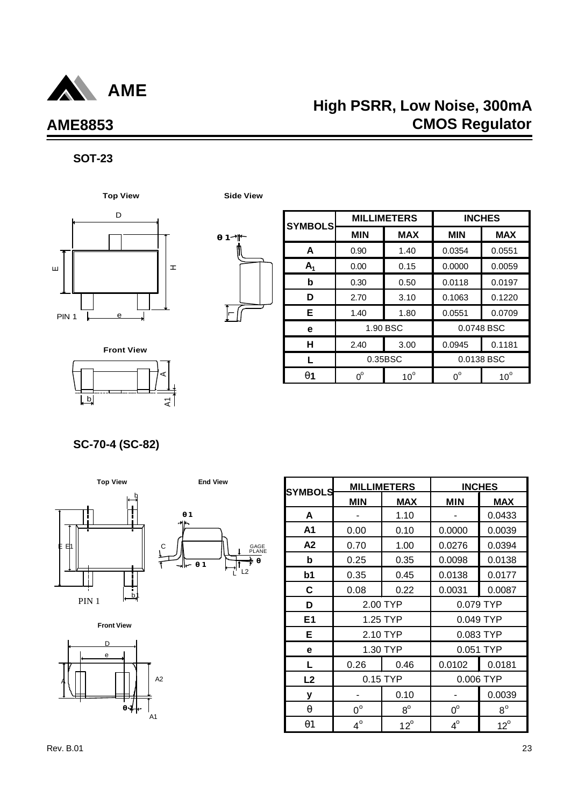

# **High PSRR, Low Noise, 300mA CMOS Regulator**

### **SOT-23**





| <b>SYMBOLS</b> | <b>MILLIMETERS</b> |              | <b>INCHES</b> |              |
|----------------|--------------------|--------------|---------------|--------------|
|                | <b>MIN</b>         | <b>MAX</b>   | <b>MIN</b>    | <b>MAX</b>   |
| A              | 0.90               | 1.40         | 0.0354        | 0.0551       |
| $A_1$          | 0.00               | 0.15         | 0.0000        | 0.0059       |
| b              | 0.30               | 0.50         | 0.0118        | 0.0197       |
| D              | 2.70               | 3.10         | 0.1063        | 0.1220       |
| Е              | 1.40               | 1.80         | 0.0551        | 0.0709       |
| е              |                    | 1.90 BSC     | 0.0748 BSC    |              |
| н              | 2.40               | 3.00         | 0.0945        | 0.1181       |
|                | 0.35BSC            |              | 0.0138 BSC    |              |
| q1             | $0^{\circ}$        | $10^{\circ}$ | $0^{\circ}$   | $10^{\circ}$ |

 $b$ A $\overline{A}$ **Front View**

**SC-70-4 (SC-82)**





**Front View**



| <b>SYMBOLS</b> |             | <b>MILLIMETERS</b> |             | <b>INCHES</b> |
|----------------|-------------|--------------------|-------------|---------------|
|                | <b>MIN</b>  | <b>MAX</b>         | <b>MIN</b>  | <b>MAX</b>    |
| A              |             | 1.10               |             | 0.0433        |
| A <sub>1</sub> | 0.00        | 0.10               | 0.0000      | 0.0039        |
| A <sub>2</sub> | 0.70        | 1.00               | 0.0276      | 0.0394        |
| b              | 0.25        | 0.35               | 0.0098      | 0.0138        |
| b <sub>1</sub> | 0.35        | 0.45               | 0.0138      | 0.0177        |
| $\mathbf c$    | 0.08        | 0.22               | 0.0031      | 0.0087        |
| D              |             | 2.00 TYP           | 0.079 TYP   |               |
| E <sub>1</sub> |             | 1.25 TYP           | 0.049 TYP   |               |
| E.             |             | 2.10 TYP           | 0.083 TYP   |               |
| e              |             | 1.30 TYP           | 0.051 TYP   |               |
| Г              | 0.26        | 0.46               | 0.0102      | 0.0181        |
| L2             |             | 0.15 TYP           | 0.006 TYP   |               |
| у              |             | 0.10               |             | 0.0039        |
| q              | $0^{\circ}$ | $8^{\circ}$        | $0^{\circ}$ | $8^{\circ}$   |
| q1             | $4^\circ$   | $12^{\circ}$       | $4^\circ$   | $12^{\circ}$  |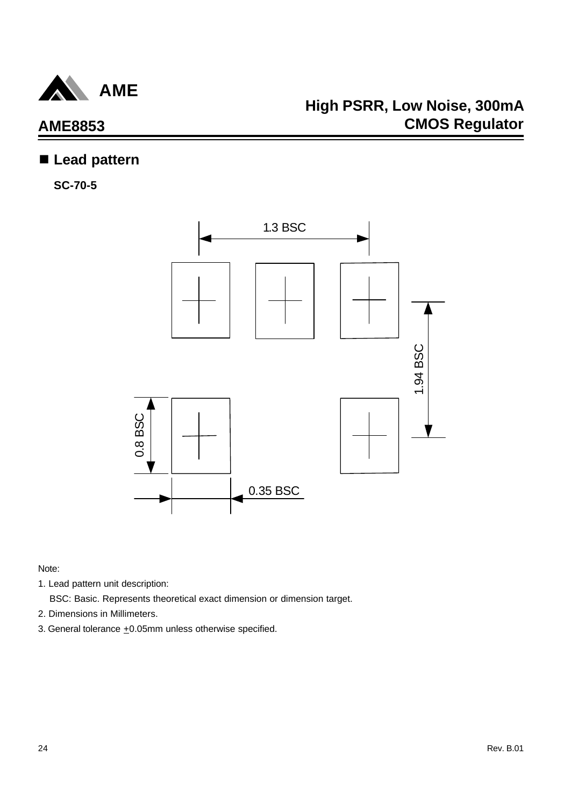

## n **Lead pattern**

**SC-70-5**



- 1. Lead pattern unit description:
	- BSC: Basic. Represents theoretical exact dimension or dimension target.
- 2. Dimensions in Millimeters.
- 3. General tolerance  $\pm 0.05$ mm unless otherwise specified.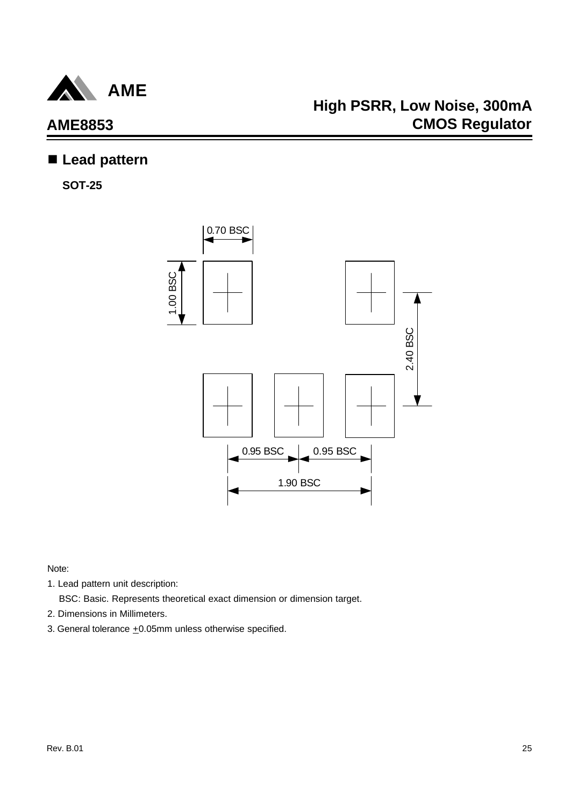

## **High PSRR, Low Noise, 300mA CMOS Regulator**

### n **Lead pattern**

**SOT-25**



- 1. Lead pattern unit description:
	- BSC: Basic. Represents theoretical exact dimension or dimension target.
- 2. Dimensions in Millimeters.
- 3. General tolerance  $\pm 0.05$ mm unless otherwise specified.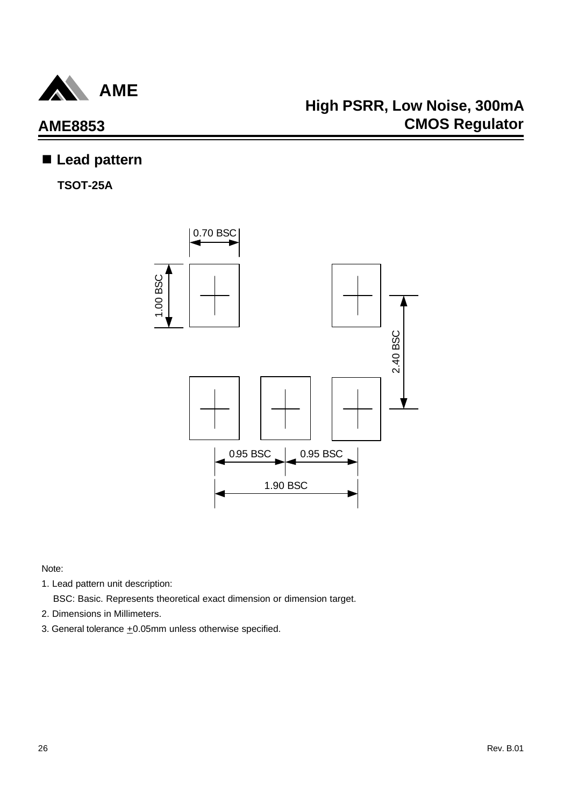

### n **Lead pattern**

**TSOT-25A**



- 1. Lead pattern unit description:
	- BSC: Basic. Represents theoretical exact dimension or dimension target.
- 2. Dimensions in Millimeters.
- 3. General tolerance  $\pm 0.05$ mm unless otherwise specified.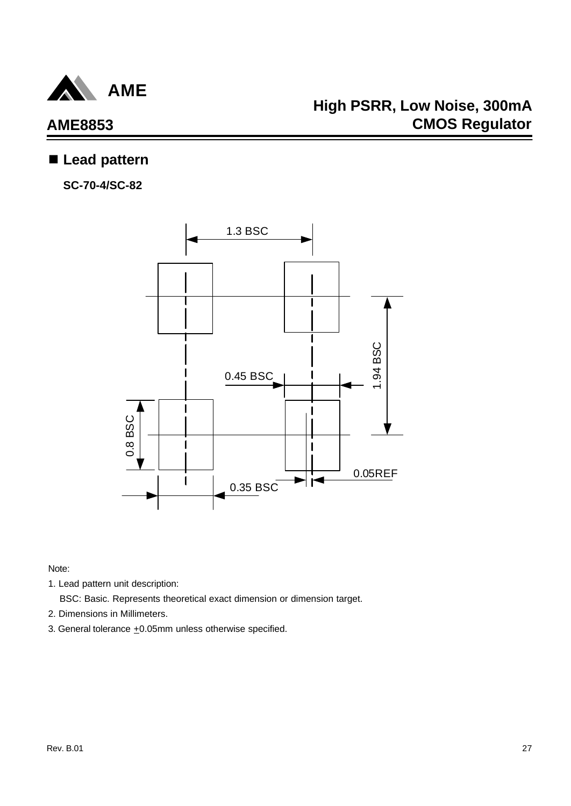

# **AME8853**

### n **Lead pattern**

**SC-70-4/SC-82**



Note:

1. Lead pattern unit description:

BSC: Basic. Represents theoretical exact dimension or dimension target.

- 2. Dimensions in Millimeters.
- 3. General tolerance  $\pm 0.05$ mm unless otherwise specified.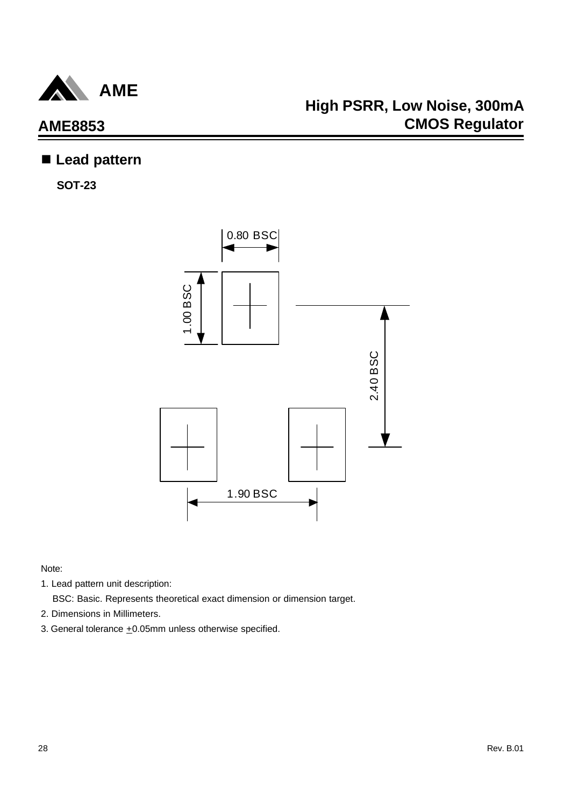

### n **Lead pattern**

**SOT-23**



- 1. Lead pattern unit description:
	- BSC: Basic. Represents theoretical exact dimension or dimension target.
- 2. Dimensions in Millimeters.
- 3. General tolerance  $\pm 0.05$ mm unless otherwise specified.